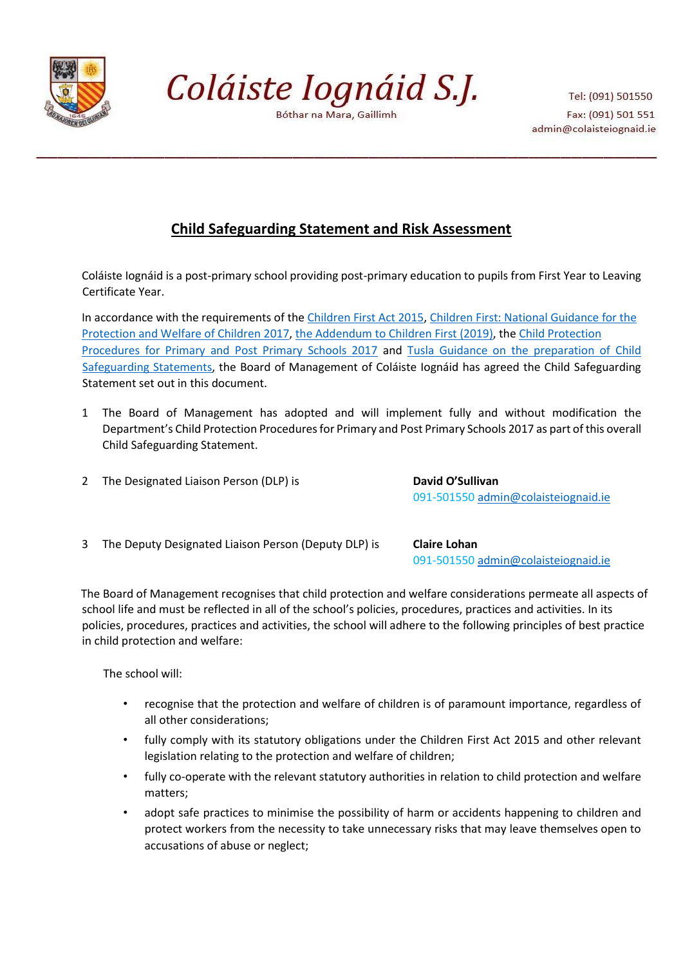

Coláiste Iognáid S.J.

Bóthar na Mara, Gaillimh

Tel: (091) 501550 Fax: (091) 501 551 admin@colaisteiognaid.ie

# **Child Safeguarding Statement and Risk Assessment**

Coláiste Iognáid is a post-primary school providing post-primary education to pupils from First Year to Leaving Certificate Year.

In accordance with the requirements of the [Children First Act 2015](http://www.irishstatutebook.ie/eli/2015/act/36/enacted/en/pdf)[,](https://assets.gov.ie/25844/b90aafa55804462f84d05f87f0ca2bf6.pdf) [Children First: National Guidance for the](https://assets.gov.ie/25844/b90aafa55804462f84d05f87f0ca2bf6.pdf) [Protection and Welfare of Children 2017](https://assets.gov.ie/25844/b90aafa55804462f84d05f87f0ca2bf6.pdf)[,](https://assets.gov.ie/25819/c9744b64dfd6447985eeffa5c0d71bbb.pdf) [the Addendum to Children First \(2019\),](https://assets.gov.ie/25819/c9744b64dfd6447985eeffa5c0d71bbb.pdf) th[e Child Protection](https://www.gov.ie/pdf/?file=https://assets.gov.ie/45063/2d4b5b3d781e4ec1ab4f3e5d198717d9.pdf#page=1) [Procedures for Primary and Post Primary Schools 2017](https://www.gov.ie/pdf/?file=https://assets.gov.ie/45063/2d4b5b3d781e4ec1ab4f3e5d198717d9.pdf#page=1) [an](https://www.gov.ie/pdf/?file=https://assets.gov.ie/45063/2d4b5b3d781e4ec1ab4f3e5d198717d9.pdf#page=1)d [Tusla Guidance on the preparation of Child](https://www.tusla.ie/uploads/content/4214-TUSLA_Guidance_on_Developing_a_CSS_LR.PDF) [Safeguarding Statements,](https://www.tusla.ie/uploads/content/4214-TUSLA_Guidance_on_Developing_a_CSS_LR.PDF) the Board of Management of Coláiste Iognáid has agreed the Child Safeguarding Statement set out in this document.

- 1 The Board of Management has adopted and will implement fully and without modification the Department's Child Protection Procedures for Primary and Post Primary Schools 2017 as part of this overall Child Safeguarding Statement.
- 2 The Designated Liaison Person (DLP) is **David O'Sullivan**

091-501550 admin@colaisteiognaid.ie

3 The Deputy Designated Liaison Person (Deputy DLP) is **Claire Lohan**

091-501550 admin@colaisteiognaid.ie

The Board of Management recognises that child protection and welfare considerations permeate all aspects of school life and must be reflected in all of the school's policies, procedures, practices and activities. In its policies, procedures, practices and activities, the school will adhere to the following principles of best practice in child protection and welfare:

The school will:

- recognise that the protection and welfare of children is of paramount importance, regardless of all other considerations;
- fully comply with its statutory obligations under the Children First Act 2015 and other relevant legislation relating to the protection and welfare of children;
- fully co-operate with the relevant statutory authorities in relation to child protection and welfare matters;
- adopt safe practices to minimise the possibility of harm or accidents happening to children and protect workers from the necessity to take unnecessary risks that may leave themselves open to accusations of abuse or neglect;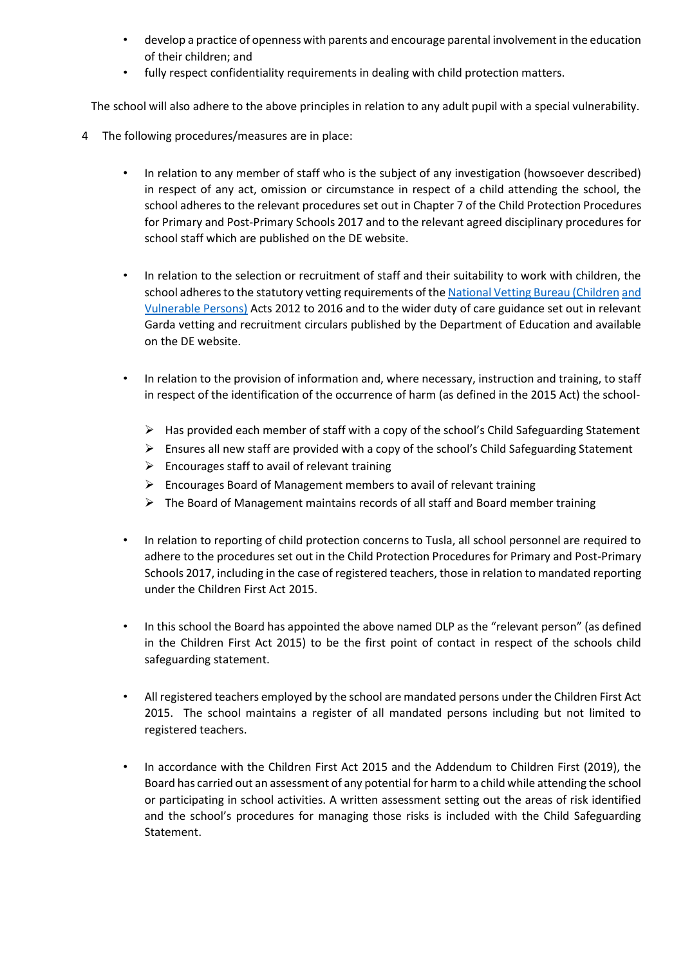- develop a practice of openness with parents and encourage parental involvement in the education of their children; and
- fully respect confidentiality requirements in dealing with child protection matters.

The school will also adhere to the above principles in relation to any adult pupil with a special vulnerability.

- 4 The following procedures/measures are in place:
	- In relation to any member of staff who is the subject of any investigation (howsoever described) in respect of any act, omission or circumstance in respect of a child attending the school, the school adheres to the relevant procedures set out in Chapter 7 of the Child Protection Procedures for Primary and Post-Primary Schools 2017 and to the relevant agreed disciplinary procedures for school staff which are published on the DE website.
	- In relation to the selection or recruitment of staff and their suitability to work with children, the school adheres to the statutory vetting requirements of t[he National Vetting Bureau \(Children](https://revisedacts.lawreform.ie/eli/2012/act/47/revised/en/pdf) [and](https://revisedacts.lawreform.ie/eli/2012/act/47/revised/en/pdf) [Vulnerable Persons\)](https://revisedacts.lawreform.ie/eli/2012/act/47/revised/en/pdf) [Ac](https://revisedacts.lawreform.ie/eli/2012/act/47/revised/en/pdf)ts 2012 to 2016 and to the wider duty of care guidance set out in relevant Garda vetting and recruitment circulars published by the Department of Education and available on the DE website.
	- In relation to the provision of information and, where necessary, instruction and training, to staff in respect of the identification of the occurrence of harm (as defined in the 2015 Act) the school-
		- $\triangleright$  Has provided each member of staff with a copy of the school's Child Safeguarding Statement
		- $\triangleright$  Ensures all new staff are provided with a copy of the school's Child Safeguarding Statement
		- $\triangleright$  Encourages staff to avail of relevant training
		- $\triangleright$  Encourages Board of Management members to avail of relevant training
		- $\triangleright$  The Board of Management maintains records of all staff and Board member training
	- In relation to reporting of child protection concerns to Tusla, all school personnel are required to adhere to the procedures set out in the Child Protection Procedures for Primary and Post-Primary Schools 2017, including in the case of registered teachers, those in relation to mandated reporting under the Children First Act 2015.
	- In this school the Board has appointed the above named DLP as the "relevant person" (as defined in the Children First Act 2015) to be the first point of contact in respect of the schools child safeguarding statement.
	- All registered teachers employed by the school are mandated persons under the Children First Act 2015. The school maintains a register of all mandated persons including but not limited to registered teachers.
	- In accordance with the Children First Act 2015 and the Addendum to Children First (2019), the Board has carried out an assessment of any potential for harm to a child while attending the school or participating in school activities. A written assessment setting out the areas of risk identified and the school's procedures for managing those risks is included with the Child Safeguarding Statement.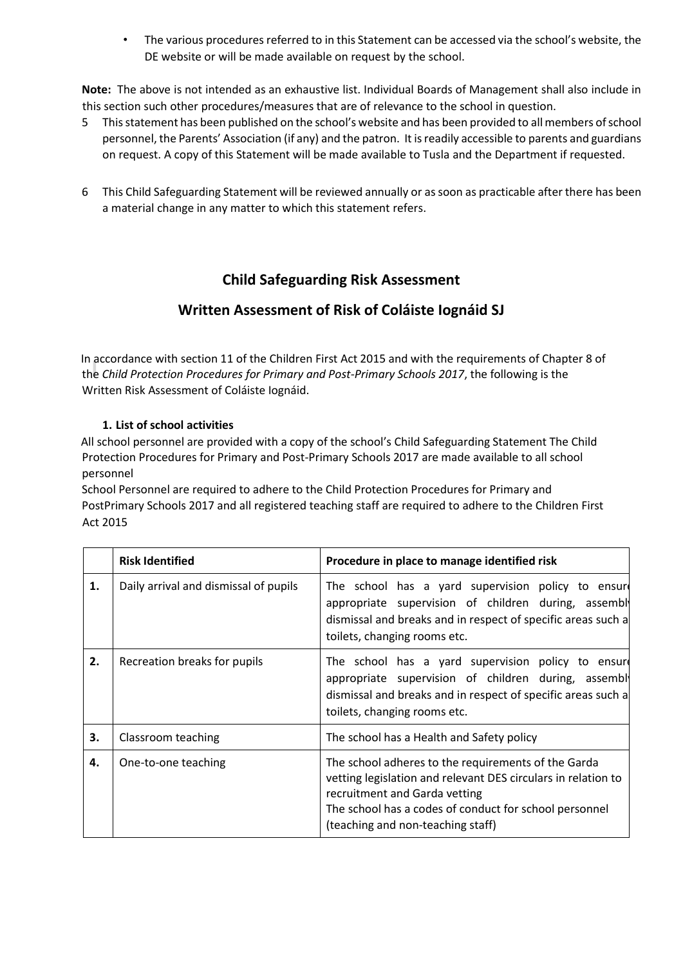• The various procedures referred to in this Statement can be accessed via the school's website, the DE website or will be made available on request by the school.

**Note:** The above is not intended as an exhaustive list. Individual Boards of Management shall also include in this section such other procedures/measures that are of relevance to the school in question.

- 5 This statement has been published on the school's website and has been provided to all members of school personnel, the Parents' Association (if any) and the patron. It is readily accessible to parents and guardians on request. A copy of this Statement will be made available to Tusla and the Department if requested.
- 6 This Child Safeguarding Statement will be reviewed annually or as soon as practicable after there has been a material change in any matter to which this statement refers.

## **Child Safeguarding Risk Assessment**

## **Written Assessment of Risk of Coláiste Iognáid SJ**

In accordance with section 11 of the Children First Act 2015 and with the requirements of Chapter 8 of the *Child Protection Procedures for Primary and Post-Primary Schools 2017*, the following is the Written Risk Assessment of Coláiste Iognáid.

#### **1. List of school activities**

All school personnel are provided with a copy of the school's Child Safeguarding Statement The Child Protection Procedures for Primary and Post-Primary Schools 2017 are made available to all school personnel

School Personnel are required to adhere to the Child Protection Procedures for Primary and PostPrimary Schools 2017 and all registered teaching staff are required to adhere to the Children First Act 2015

|    | <b>Risk Identified</b>                | Procedure in place to manage identified risk                                                                                                                                                                                                         |
|----|---------------------------------------|------------------------------------------------------------------------------------------------------------------------------------------------------------------------------------------------------------------------------------------------------|
| 1. | Daily arrival and dismissal of pupils | The school has a yard supervision policy to ensure<br>appropriate supervision of children during, assembl<br>dismissal and breaks and in respect of specific areas such a<br>toilets, changing rooms etc.                                            |
| 2. | Recreation breaks for pupils          | The school has a yard supervision policy to ensure<br>appropriate supervision of children during, assembl<br>dismissal and breaks and in respect of specific areas such a<br>toilets, changing rooms etc.                                            |
| 3. | Classroom teaching                    | The school has a Health and Safety policy                                                                                                                                                                                                            |
| 4. | One-to-one teaching                   | The school adheres to the requirements of the Garda<br>vetting legislation and relevant DES circulars in relation to<br>recruitment and Garda vetting<br>The school has a codes of conduct for school personnel<br>(teaching and non-teaching staff) |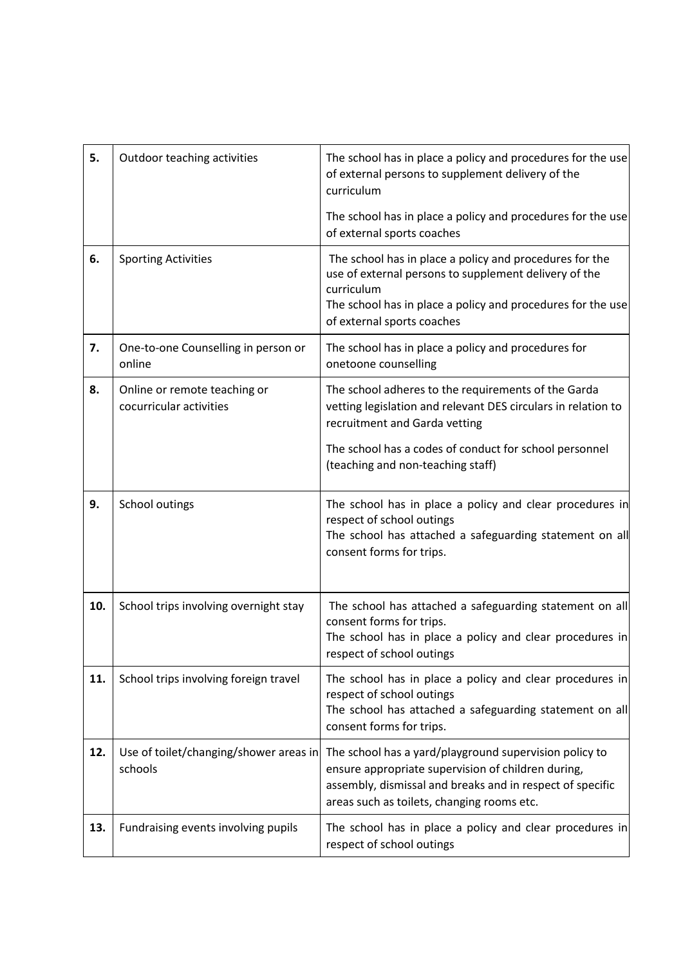| 5.  | Outdoor teaching activities                             | The school has in place a policy and procedures for the use<br>of external persons to supplement delivery of the<br>curriculum                                                                                              |
|-----|---------------------------------------------------------|-----------------------------------------------------------------------------------------------------------------------------------------------------------------------------------------------------------------------------|
|     |                                                         | The school has in place a policy and procedures for the use<br>of external sports coaches                                                                                                                                   |
| 6.  | <b>Sporting Activities</b>                              | The school has in place a policy and procedures for the<br>use of external persons to supplement delivery of the<br>curriculum<br>The school has in place a policy and procedures for the use<br>of external sports coaches |
| 7.  | One-to-one Counselling in person or<br>online           | The school has in place a policy and procedures for<br>onetoone counselling                                                                                                                                                 |
| 8.  | Online or remote teaching or<br>cocurricular activities | The school adheres to the requirements of the Garda<br>vetting legislation and relevant DES circulars in relation to<br>recruitment and Garda vetting                                                                       |
|     |                                                         | The school has a codes of conduct for school personnel<br>(teaching and non-teaching staff)                                                                                                                                 |
| 9.  | School outings                                          | The school has in place a policy and clear procedures in<br>respect of school outings<br>The school has attached a safeguarding statement on all<br>consent forms for trips.                                                |
| 10. | School trips involving overnight stay                   | The school has attached a safeguarding statement on all<br>consent forms for trips.<br>The school has in place a policy and clear procedures in<br>respect of school outings                                                |
| 11. | School trips involving foreign travel                   | The school has in place a policy and clear procedures in<br>respect of school outings<br>The school has attached a safeguarding statement on all<br>consent forms for trips.                                                |
| 12. | Use of toilet/changing/shower areas in<br>schools       | The school has a yard/playground supervision policy to<br>ensure appropriate supervision of children during,<br>assembly, dismissal and breaks and in respect of specific<br>areas such as toilets, changing rooms etc.     |
| 13. | Fundraising events involving pupils                     | The school has in place a policy and clear procedures in<br>respect of school outings                                                                                                                                       |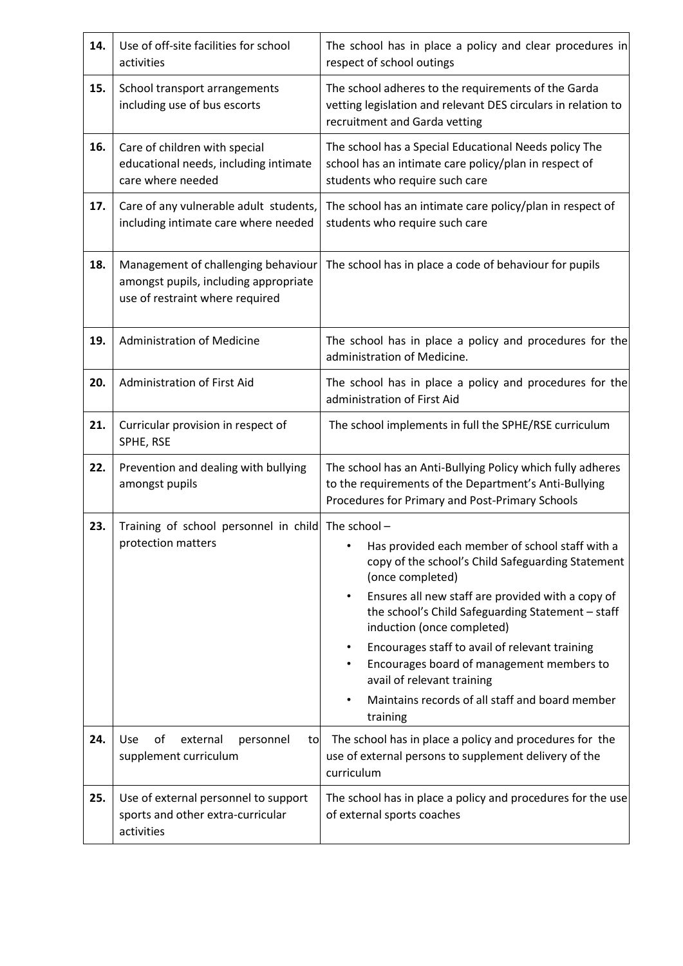| 14. | Use of off-site facilities for school<br>activities                                                             | The school has in place a policy and clear procedures in<br>respect of school outings                                                                                                                                                                                                                                                                                                                                                                                            |  |
|-----|-----------------------------------------------------------------------------------------------------------------|----------------------------------------------------------------------------------------------------------------------------------------------------------------------------------------------------------------------------------------------------------------------------------------------------------------------------------------------------------------------------------------------------------------------------------------------------------------------------------|--|
| 15. | School transport arrangements<br>including use of bus escorts                                                   | The school adheres to the requirements of the Garda<br>vetting legislation and relevant DES circulars in relation to<br>recruitment and Garda vetting                                                                                                                                                                                                                                                                                                                            |  |
| 16. | Care of children with special<br>educational needs, including intimate<br>care where needed                     | The school has a Special Educational Needs policy The<br>school has an intimate care policy/plan in respect of<br>students who require such care                                                                                                                                                                                                                                                                                                                                 |  |
| 17. | Care of any vulnerable adult students,<br>including intimate care where needed                                  | The school has an intimate care policy/plan in respect of<br>students who require such care                                                                                                                                                                                                                                                                                                                                                                                      |  |
| 18. | Management of challenging behaviour<br>amongst pupils, including appropriate<br>use of restraint where required | The school has in place a code of behaviour for pupils                                                                                                                                                                                                                                                                                                                                                                                                                           |  |
| 19. | <b>Administration of Medicine</b>                                                                               | The school has in place a policy and procedures for the<br>administration of Medicine.                                                                                                                                                                                                                                                                                                                                                                                           |  |
| 20. | Administration of First Aid                                                                                     | The school has in place a policy and procedures for the<br>administration of First Aid                                                                                                                                                                                                                                                                                                                                                                                           |  |
| 21. | Curricular provision in respect of<br>SPHE, RSE                                                                 | The school implements in full the SPHE/RSE curriculum                                                                                                                                                                                                                                                                                                                                                                                                                            |  |
| 22. | Prevention and dealing with bullying<br>amongst pupils                                                          | The school has an Anti-Bullying Policy which fully adheres<br>to the requirements of the Department's Anti-Bullying<br>Procedures for Primary and Post-Primary Schools                                                                                                                                                                                                                                                                                                           |  |
| 23. | Training of school personnel in child The school -<br>protection matters                                        | • Has provided each member of school staff with a<br>copy of the school's Child Safeguarding Statement<br>(once completed)<br>Ensures all new staff are provided with a copy of<br>$\bullet$<br>the school's Child Safeguarding Statement - staff<br>induction (once completed)<br>Encourages staff to avail of relevant training<br>٠<br>Encourages board of management members to<br>avail of relevant training<br>Maintains records of all staff and board member<br>training |  |
| 24. | Use<br>of<br>external<br>personnel<br>to<br>supplement curriculum                                               | The school has in place a policy and procedures for the<br>use of external persons to supplement delivery of the<br>curriculum                                                                                                                                                                                                                                                                                                                                                   |  |
| 25. | Use of external personnel to support<br>sports and other extra-curricular<br>activities                         | The school has in place a policy and procedures for the use<br>of external sports coaches                                                                                                                                                                                                                                                                                                                                                                                        |  |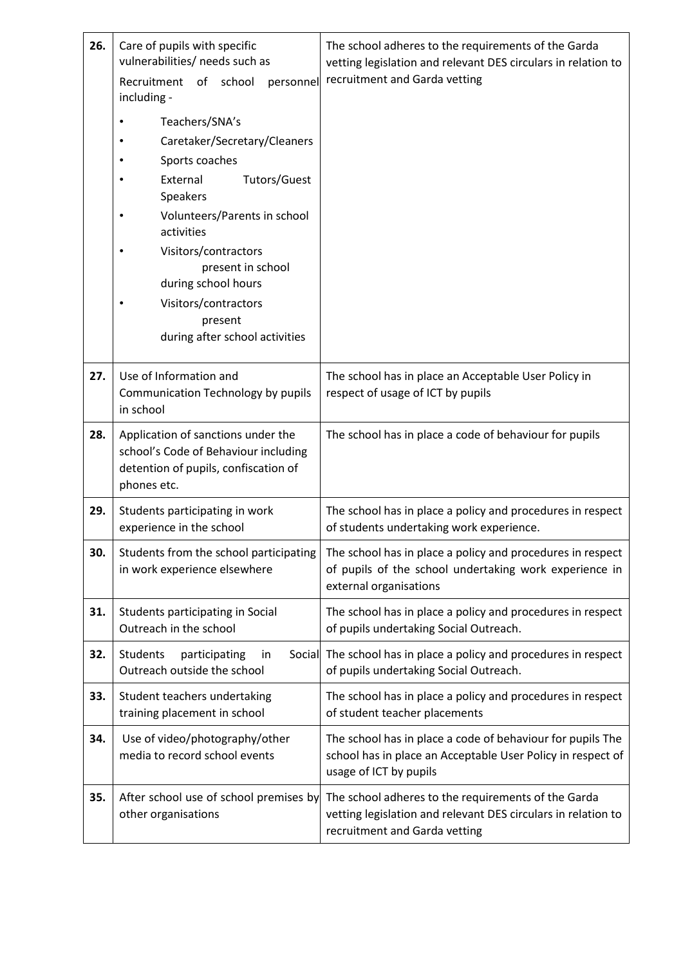| 26. | Care of pupils with specific<br>vulnerabilities/ needs such as<br>Recruitment of school<br>personnel<br>including -                                                                                                                                                                             | The school adheres to the requirements of the Garda<br>vetting legislation and relevant DES circulars in relation to<br>recruitment and Garda vetting |
|-----|-------------------------------------------------------------------------------------------------------------------------------------------------------------------------------------------------------------------------------------------------------------------------------------------------|-------------------------------------------------------------------------------------------------------------------------------------------------------|
|     | Teachers/SNA's<br>Caretaker/Secretary/Cleaners<br>Sports coaches<br>External<br>Tutors/Guest<br>Speakers<br>Volunteers/Parents in school<br>activities<br>Visitors/contractors<br>present in school<br>during school hours<br>Visitors/contractors<br>present<br>during after school activities |                                                                                                                                                       |
| 27. | Use of Information and<br>Communication Technology by pupils<br>in school                                                                                                                                                                                                                       | The school has in place an Acceptable User Policy in<br>respect of usage of ICT by pupils                                                             |
| 28. | Application of sanctions under the<br>school's Code of Behaviour including<br>detention of pupils, confiscation of<br>phones etc.                                                                                                                                                               | The school has in place a code of behaviour for pupils                                                                                                |
| 29. | Students participating in work<br>experience in the school                                                                                                                                                                                                                                      | The school has in place a policy and procedures in respect<br>of students undertaking work experience.                                                |
| 30. | Students from the school participating<br>in work experience elsewhere                                                                                                                                                                                                                          | The school has in place a policy and procedures in respect<br>of pupils of the school undertaking work experience in<br>external organisations        |
| 31. | Students participating in Social<br>Outreach in the school                                                                                                                                                                                                                                      | The school has in place a policy and procedures in respect<br>of pupils undertaking Social Outreach.                                                  |
| 32. | Students<br>participating<br>in<br>Outreach outside the school                                                                                                                                                                                                                                  | Social The school has in place a policy and procedures in respect<br>of pupils undertaking Social Outreach.                                           |
| 33. | Student teachers undertaking<br>training placement in school                                                                                                                                                                                                                                    | The school has in place a policy and procedures in respect<br>of student teacher placements                                                           |
| 34. | Use of video/photography/other<br>media to record school events                                                                                                                                                                                                                                 | The school has in place a code of behaviour for pupils The<br>school has in place an Acceptable User Policy in respect of<br>usage of ICT by pupils   |
| 35. | After school use of school premises by<br>other organisations                                                                                                                                                                                                                                   | The school adheres to the requirements of the Garda<br>vetting legislation and relevant DES circulars in relation to<br>recruitment and Garda vetting |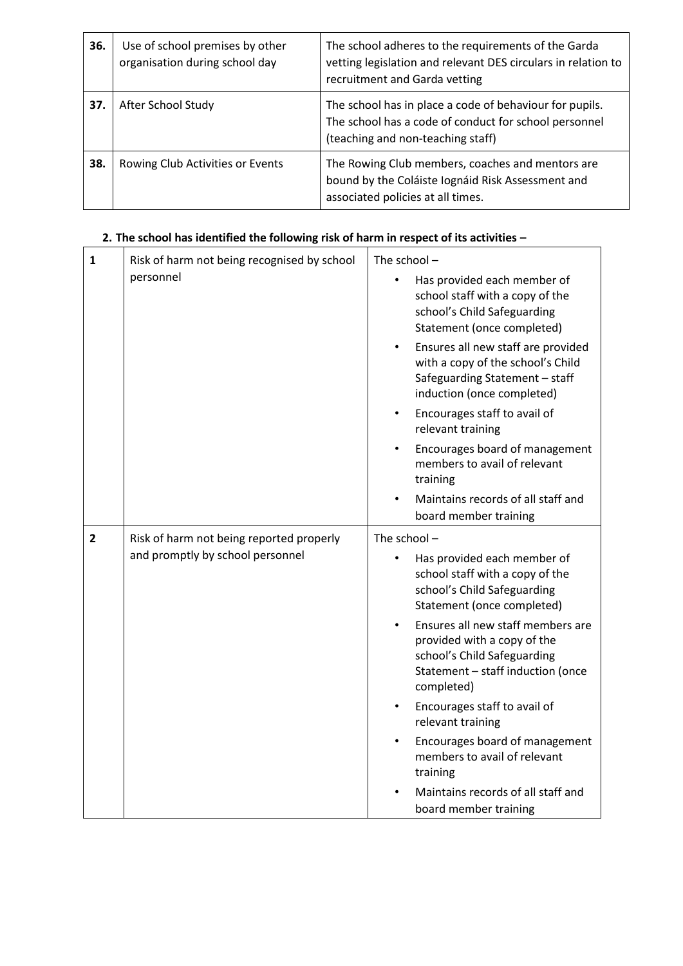| 36. | Use of school premises by other<br>organisation during school day | The school adheres to the requirements of the Garda<br>vetting legislation and relevant DES circulars in relation to<br>recruitment and Garda vetting |
|-----|-------------------------------------------------------------------|-------------------------------------------------------------------------------------------------------------------------------------------------------|
| 37. | After School Study                                                | The school has in place a code of behaviour for pupils.<br>The school has a code of conduct for school personnel<br>(teaching and non-teaching staff) |
| 38. | Rowing Club Activities or Events                                  | The Rowing Club members, coaches and mentors are<br>bound by the Coláiste Iognáid Risk Assessment and<br>associated policies at all times.            |

# **2. The school has identified the following risk of harm in respect of its activities –**

| $\mathbf{1}$   | Risk of harm not being recognised by school | The school $-$                                                                                                                                                  |
|----------------|---------------------------------------------|-----------------------------------------------------------------------------------------------------------------------------------------------------------------|
|                | personnel                                   | Has provided each member of<br>school staff with a copy of the<br>school's Child Safeguarding<br>Statement (once completed)                                     |
|                |                                             | Ensures all new staff are provided<br>$\bullet$<br>with a copy of the school's Child<br>Safeguarding Statement - staff<br>induction (once completed)            |
|                |                                             | Encourages staff to avail of<br>$\bullet$<br>relevant training                                                                                                  |
|                |                                             | Encourages board of management<br>members to avail of relevant<br>training                                                                                      |
|                |                                             | Maintains records of all staff and<br>board member training                                                                                                     |
| $\overline{2}$ | Risk of harm not being reported properly    | The school-                                                                                                                                                     |
|                | and promptly by school personnel            | Has provided each member of<br>$\bullet$<br>school staff with a copy of the<br>school's Child Safeguarding<br>Statement (once completed)                        |
|                |                                             | Ensures all new staff members are<br>$\bullet$<br>provided with a copy of the<br>school's Child Safeguarding<br>Statement - staff induction (once<br>completed) |
|                |                                             | Encourages staff to avail of<br>relevant training                                                                                                               |
|                |                                             | Encourages board of management<br>$\bullet$<br>members to avail of relevant<br>training                                                                         |
|                |                                             | Maintains records of all staff and<br>board member training                                                                                                     |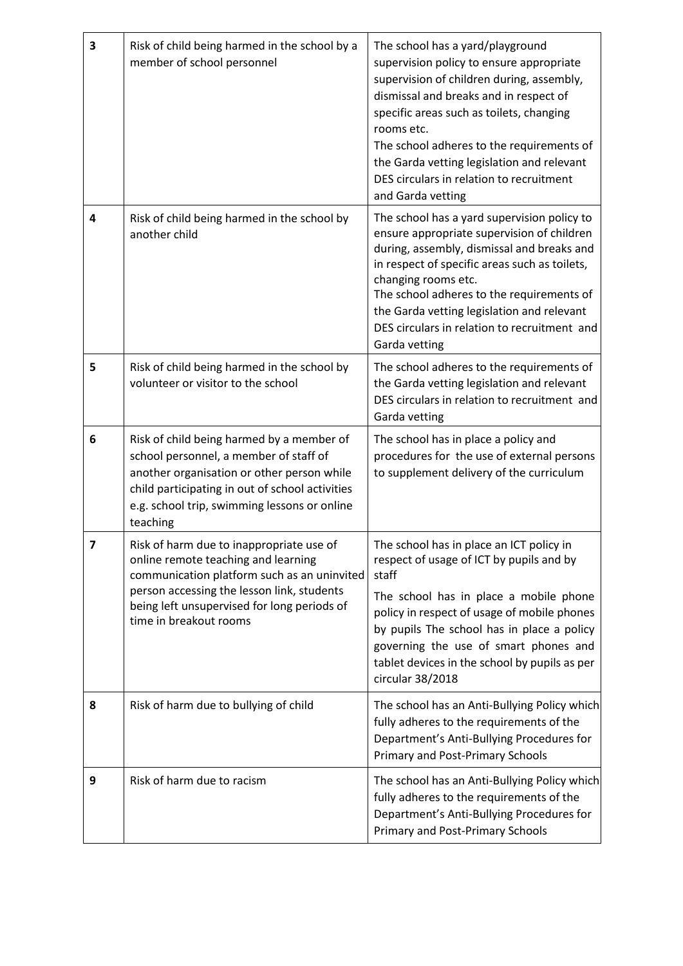| 3 | Risk of child being harmed in the school by a<br>member of school personnel                                                                                                                                                                           | The school has a yard/playground<br>supervision policy to ensure appropriate<br>supervision of children during, assembly,<br>dismissal and breaks and in respect of<br>specific areas such as toilets, changing<br>rooms etc.<br>The school adheres to the requirements of<br>the Garda vetting legislation and relevant<br>DES circulars in relation to recruitment<br>and Garda vetting |
|---|-------------------------------------------------------------------------------------------------------------------------------------------------------------------------------------------------------------------------------------------------------|-------------------------------------------------------------------------------------------------------------------------------------------------------------------------------------------------------------------------------------------------------------------------------------------------------------------------------------------------------------------------------------------|
| 4 | Risk of child being harmed in the school by<br>another child                                                                                                                                                                                          | The school has a yard supervision policy to<br>ensure appropriate supervision of children<br>during, assembly, dismissal and breaks and<br>in respect of specific areas such as toilets,<br>changing rooms etc.<br>The school adheres to the requirements of<br>the Garda vetting legislation and relevant<br>DES circulars in relation to recruitment and<br>Garda vetting               |
| 5 | Risk of child being harmed in the school by<br>volunteer or visitor to the school                                                                                                                                                                     | The school adheres to the requirements of<br>the Garda vetting legislation and relevant<br>DES circulars in relation to recruitment and<br>Garda vetting                                                                                                                                                                                                                                  |
| 6 | Risk of child being harmed by a member of<br>school personnel, a member of staff of<br>another organisation or other person while<br>child participating in out of school activities<br>e.g. school trip, swimming lessons or online<br>teaching      | The school has in place a policy and<br>procedures for the use of external persons<br>to supplement delivery of the curriculum                                                                                                                                                                                                                                                            |
| 7 | Risk of harm due to inappropriate use of<br>online remote teaching and learning<br>communication platform such as an uninvited<br>person accessing the lesson link, students<br>being left unsupervised for long periods of<br>time in breakout rooms | The school has in place an ICT policy in<br>respect of usage of ICT by pupils and by<br>staff<br>The school has in place a mobile phone<br>policy in respect of usage of mobile phones<br>by pupils The school has in place a policy<br>governing the use of smart phones and<br>tablet devices in the school by pupils as per<br>circular 38/2018                                        |
| 8 | Risk of harm due to bullying of child                                                                                                                                                                                                                 | The school has an Anti-Bullying Policy which<br>fully adheres to the requirements of the<br>Department's Anti-Bullying Procedures for<br><b>Primary and Post-Primary Schools</b>                                                                                                                                                                                                          |
| 9 | Risk of harm due to racism                                                                                                                                                                                                                            | The school has an Anti-Bullying Policy which<br>fully adheres to the requirements of the<br>Department's Anti-Bullying Procedures for<br>Primary and Post-Primary Schools                                                                                                                                                                                                                 |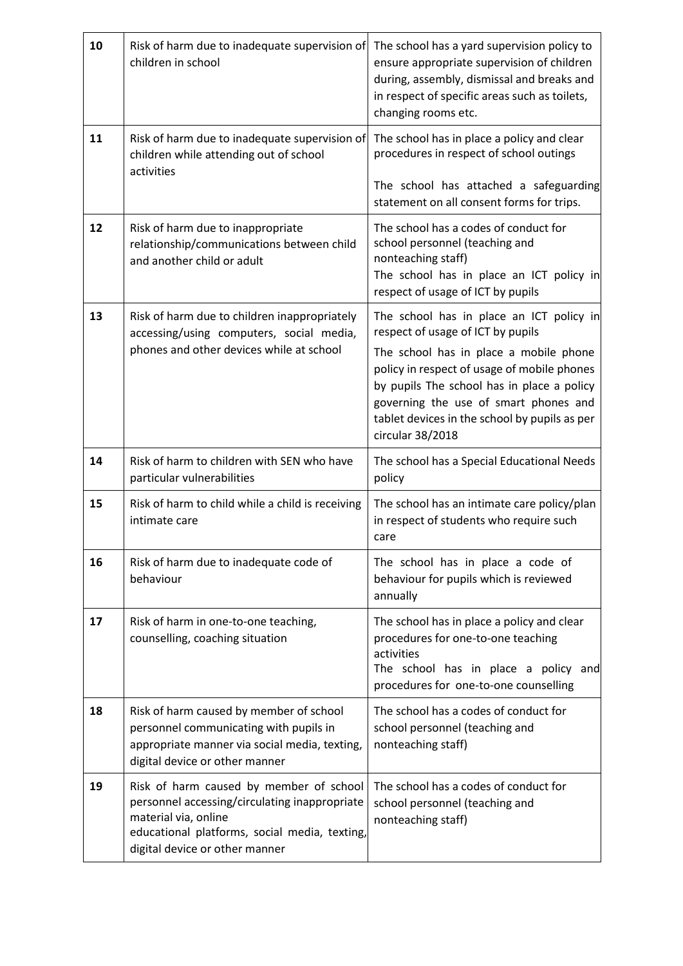| 10 | Risk of harm due to inadequate supervision of<br>children in school                                                                                                                                 | The school has a yard supervision policy to<br>ensure appropriate supervision of children<br>during, assembly, dismissal and breaks and<br>in respect of specific areas such as toilets,<br>changing rooms etc.                                   |
|----|-----------------------------------------------------------------------------------------------------------------------------------------------------------------------------------------------------|---------------------------------------------------------------------------------------------------------------------------------------------------------------------------------------------------------------------------------------------------|
| 11 | Risk of harm due to inadequate supervision of<br>children while attending out of school<br>activities                                                                                               | The school has in place a policy and clear<br>procedures in respect of school outings                                                                                                                                                             |
|    |                                                                                                                                                                                                     | The school has attached a safeguarding<br>statement on all consent forms for trips.                                                                                                                                                               |
| 12 | Risk of harm due to inappropriate<br>relationship/communications between child<br>and another child or adult                                                                                        | The school has a codes of conduct for<br>school personnel (teaching and<br>nonteaching staff)<br>The school has in place an ICT policy in<br>respect of usage of ICT by pupils                                                                    |
| 13 | Risk of harm due to children inappropriately<br>accessing/using computers, social media,                                                                                                            | The school has in place an ICT policy in<br>respect of usage of ICT by pupils                                                                                                                                                                     |
|    | phones and other devices while at school                                                                                                                                                            | The school has in place a mobile phone<br>policy in respect of usage of mobile phones<br>by pupils The school has in place a policy<br>governing the use of smart phones and<br>tablet devices in the school by pupils as per<br>circular 38/2018 |
| 14 | Risk of harm to children with SEN who have<br>particular vulnerabilities                                                                                                                            | The school has a Special Educational Needs<br>policy                                                                                                                                                                                              |
| 15 | Risk of harm to child while a child is receiving<br>intimate care                                                                                                                                   | The school has an intimate care policy/plan<br>in respect of students who require such<br>care                                                                                                                                                    |
| 16 | Risk of harm due to inadequate code of<br>behaviour                                                                                                                                                 | The school has in place a code of<br>behaviour for pupils which is reviewed<br>annually                                                                                                                                                           |
| 17 | Risk of harm in one-to-one teaching,<br>counselling, coaching situation                                                                                                                             | The school has in place a policy and clear<br>procedures for one-to-one teaching<br>activities<br>The school has in place a policy<br>and<br>procedures for one-to-one counselling                                                                |
| 18 | Risk of harm caused by member of school<br>personnel communicating with pupils in<br>appropriate manner via social media, texting,<br>digital device or other manner                                | The school has a codes of conduct for<br>school personnel (teaching and<br>nonteaching staff)                                                                                                                                                     |
| 19 | Risk of harm caused by member of school<br>personnel accessing/circulating inappropriate<br>material via, online<br>educational platforms, social media, texting,<br>digital device or other manner | The school has a codes of conduct for<br>school personnel (teaching and<br>nonteaching staff)                                                                                                                                                     |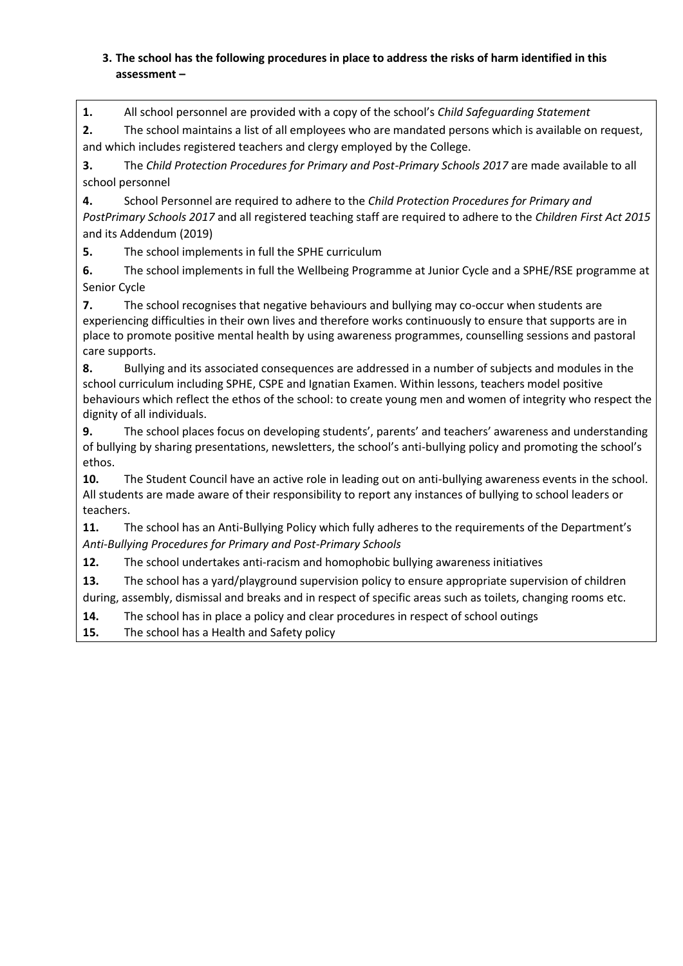### **3. The school has the following procedures in place to address the risks of harm identified in this assessment –**

**1.** All school personnel are provided with a copy of the school's *Child Safeguarding Statement* 

**2.** The school maintains a list of all employees who are mandated persons which is available on request, and which includes registered teachers and clergy employed by the College.

**3.** The *Child Protection Procedures for Primary and Post-Primary Schools 2017* are made available to all school personnel

**4.** School Personnel are required to adhere to the *Child Protection Procedures for Primary and PostPrimary Schools 2017* and all registered teaching staff are required to adhere to the *Children First Act 2015* and its Addendum (2019)

**5.** The school implements in full the SPHE curriculum

**6.** The school implements in full the Wellbeing Programme at Junior Cycle and a SPHE/RSE programme at Senior Cycle

**7.** The school recognises that negative behaviours and bullying may co-occur when students are experiencing difficulties in their own lives and therefore works continuously to ensure that supports are in place to promote positive mental health by using awareness programmes, counselling sessions and pastoral care supports.

**8.** Bullying and its associated consequences are addressed in a number of subjects and modules in the school curriculum including SPHE, CSPE and Ignatian Examen. Within lessons, teachers model positive behaviours which reflect the ethos of the school: to create young men and women of integrity who respect the dignity of all individuals.

**9.** The school places focus on developing students', parents' and teachers' awareness and understanding of bullying by sharing presentations, newsletters, the school's anti-bullying policy and promoting the school's ethos.

**10.** The Student Council have an active role in leading out on anti-bullying awareness events in the school. All students are made aware of their responsibility to report any instances of bullying to school leaders or teachers.

**11.** The school has an Anti-Bullying Policy which fully adheres to the requirements of the Department's *Anti-Bullying Procedures for Primary and Post-Primary Schools* 

**12.** The school undertakes anti-racism and homophobic bullying awareness initiatives

**13.** The school has a yard/playground supervision policy to ensure appropriate supervision of children during, assembly, dismissal and breaks and in respect of specific areas such as toilets, changing rooms etc.

**14.** The school has in place a policy and clear procedures in respect of school outings

**15.** The school has a Health and Safety policy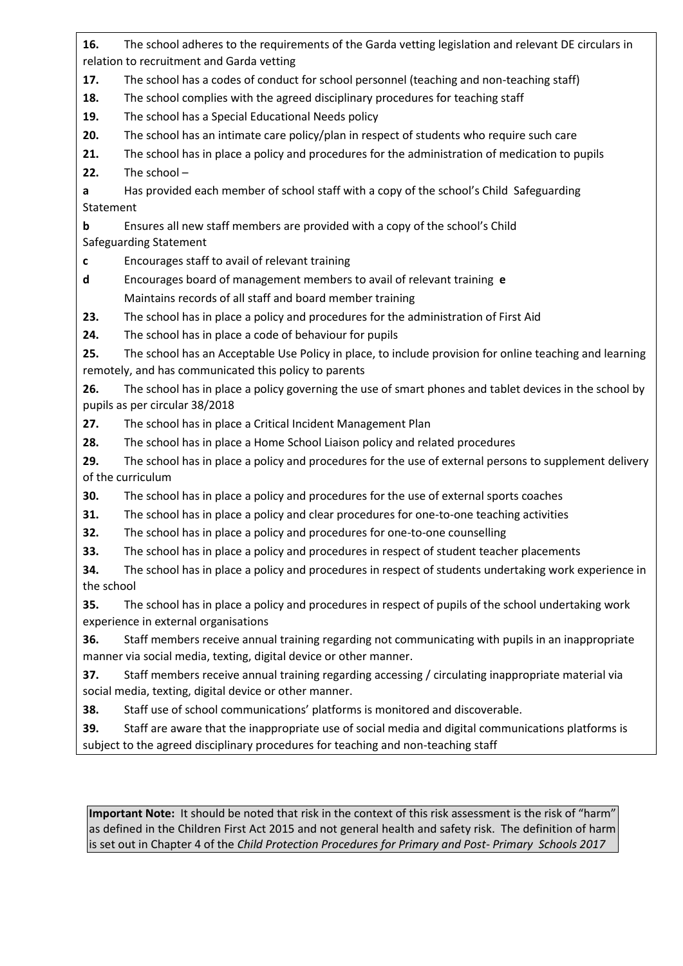**16.** The school adheres to the requirements of the Garda vetting legislation and relevant DE circulars in relation to recruitment and Garda vetting

**17.** The school has a codes of conduct for school personnel (teaching and non-teaching staff)

**18.** The school complies with the agreed disciplinary procedures for teaching staff

**19.** The school has a Special Educational Needs policy

**20.** The school has an intimate care policy/plan in respect of students who require such care

**21.** The school has in place a policy and procedures for the administration of medication to pupils

**22.** The school –

**a** Has provided each member of school staff with a copy of the school's Child Safeguarding Statement

**b** Ensures all new staff members are provided with a copy of the school's Child Safeguarding Statement

**c** Encourages staff to avail of relevant training

**d** Encourages board of management members to avail of relevant training **e** Maintains records of all staff and board member training

**23.** The school has in place a policy and procedures for the administration of First Aid

**24.** The school has in place a code of behaviour for pupils

**25.** The school has an Acceptable Use Policy in place, to include provision for online teaching and learning remotely, and has communicated this policy to parents

**26.** The school has in place a policy governing the use of smart phones and tablet devices in the school by pupils as per circular 38/2018

**27.** The school has in place a Critical Incident Management Plan

**28.** The school has in place a Home School Liaison policy and related procedures

**29.** The school has in place a policy and procedures for the use of external persons to supplement delivery of the curriculum

**30.** The school has in place a policy and procedures for the use of external sports coaches

**31.** The school has in place a policy and clear procedures for one-to-one teaching activities

**32.** The school has in place a policy and procedures for one-to-one counselling

**33.** The school has in place a policy and procedures in respect of student teacher placements

**34.** The school has in place a policy and procedures in respect of students undertaking work experience in the school

**35.** The school has in place a policy and procedures in respect of pupils of the school undertaking work experience in external organisations

**36.** Staff members receive annual training regarding not communicating with pupils in an inappropriate manner via social media, texting, digital device or other manner.

**37.** Staff members receive annual training regarding accessing / circulating inappropriate material via social media, texting, digital device or other manner.

**38.** Staff use of school communications' platforms is monitored and discoverable.

**39.** Staff are aware that the inappropriate use of social media and digital communications platforms is subject to the agreed disciplinary procedures for teaching and non-teaching staff

**Important Note:** It should be noted that risk in the context of this risk assessment is the risk of "harm" as defined in the Children First Act 2015 and not general health and safety risk. The definition of harm is set out in Chapter 4 of the *Child Protection Procedures for Primary and Post- Primary Schools 2017*